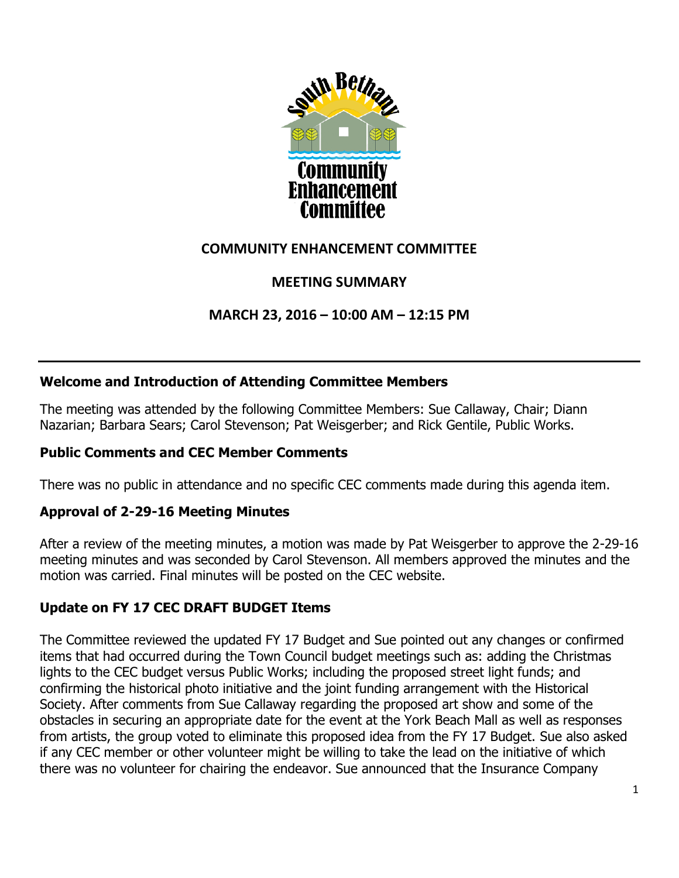

# **COMMUNITY ENHANCEMENT COMMITTEE**

# **MEETING SUMMARY**

**MARCH 23, 2016 – 10:00 AM – 12:15 PM**

## **Welcome and Introduction of Attending Committee Members**

The meeting was attended by the following Committee Members: Sue Callaway, Chair; Diann Nazarian; Barbara Sears; Carol Stevenson; Pat Weisgerber; and Rick Gentile, Public Works.

## **Public Comments and CEC Member Comments**

There was no public in attendance and no specific CEC comments made during this agenda item.

## **Approval of 2-29-16 Meeting Minutes**

After a review of the meeting minutes, a motion was made by Pat Weisgerber to approve the 2-29-16 meeting minutes and was seconded by Carol Stevenson. All members approved the minutes and the motion was carried. Final minutes will be posted on the CEC website.

# **Update on FY 17 CEC DRAFT BUDGET Items**

The Committee reviewed the updated FY 17 Budget and Sue pointed out any changes or confirmed items that had occurred during the Town Council budget meetings such as: adding the Christmas lights to the CEC budget versus Public Works; including the proposed street light funds; and confirming the historical photo initiative and the joint funding arrangement with the Historical Society. After comments from Sue Callaway regarding the proposed art show and some of the obstacles in securing an appropriate date for the event at the York Beach Mall as well as responses from artists, the group voted to eliminate this proposed idea from the FY 17 Budget. Sue also asked if any CEC member or other volunteer might be willing to take the lead on the initiative of which there was no volunteer for chairing the endeavor. Sue announced that the Insurance Company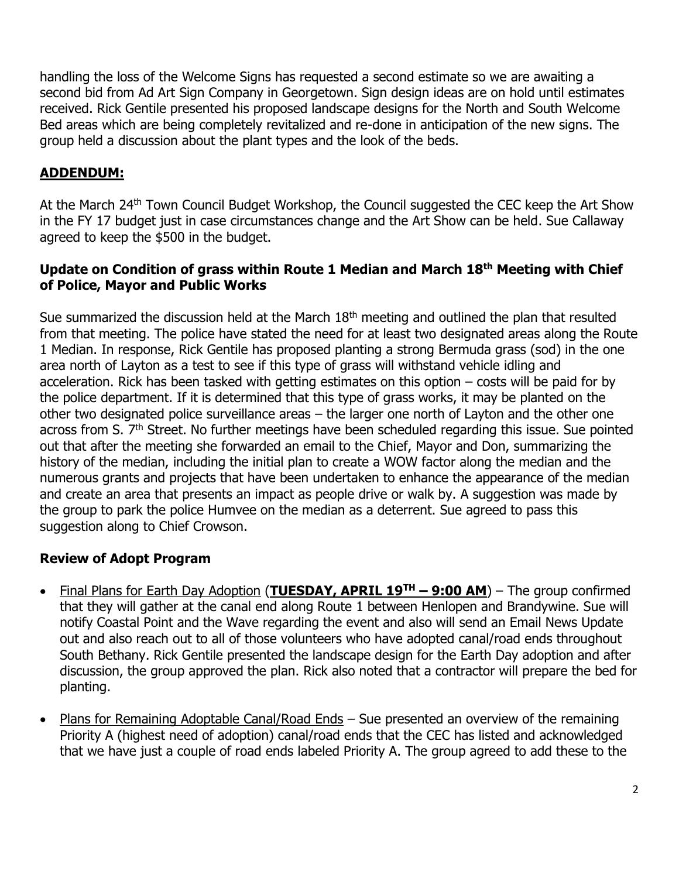handling the loss of the Welcome Signs has requested a second estimate so we are awaiting a second bid from Ad Art Sign Company in Georgetown. Sign design ideas are on hold until estimates received. Rick Gentile presented his proposed landscape designs for the North and South Welcome Bed areas which are being completely revitalized and re-done in anticipation of the new signs. The group held a discussion about the plant types and the look of the beds.

# **ADDENDUM:**

At the March 24<sup>th</sup> Town Council Budget Workshop, the Council suggested the CEC keep the Art Show in the FY 17 budget just in case circumstances change and the Art Show can be held. Sue Callaway agreed to keep the \$500 in the budget.

#### **Update on Condition of grass within Route 1 Median and March 18th Meeting with Chief of Police, Mayor and Public Works**

Sue summarized the discussion held at the March  $18<sup>th</sup>$  meeting and outlined the plan that resulted from that meeting. The police have stated the need for at least two designated areas along the Route 1 Median. In response, Rick Gentile has proposed planting a strong Bermuda grass (sod) in the one area north of Layton as a test to see if this type of grass will withstand vehicle idling and acceleration. Rick has been tasked with getting estimates on this option – costs will be paid for by the police department. If it is determined that this type of grass works, it may be planted on the other two designated police surveillance areas – the larger one north of Layton and the other one across from S. 7<sup>th</sup> Street. No further meetings have been scheduled regarding this issue. Sue pointed out that after the meeting she forwarded an email to the Chief, Mayor and Don, summarizing the history of the median, including the initial plan to create a WOW factor along the median and the numerous grants and projects that have been undertaken to enhance the appearance of the median and create an area that presents an impact as people drive or walk by. A suggestion was made by the group to park the police Humvee on the median as a deterrent. Sue agreed to pass this suggestion along to Chief Crowson.

## **Review of Adopt Program**

- Final Plans for Earth Day Adoption (**TUESDAY, APRIL 19TH – 9:00 AM**) The group confirmed that they will gather at the canal end along Route 1 between Henlopen and Brandywine. Sue will notify Coastal Point and the Wave regarding the event and also will send an Email News Update out and also reach out to all of those volunteers who have adopted canal/road ends throughout South Bethany. Rick Gentile presented the landscape design for the Earth Day adoption and after discussion, the group approved the plan. Rick also noted that a contractor will prepare the bed for planting.
- Plans for Remaining Adoptable Canal/Road Ends Sue presented an overview of the remaining Priority A (highest need of adoption) canal/road ends that the CEC has listed and acknowledged that we have just a couple of road ends labeled Priority A. The group agreed to add these to the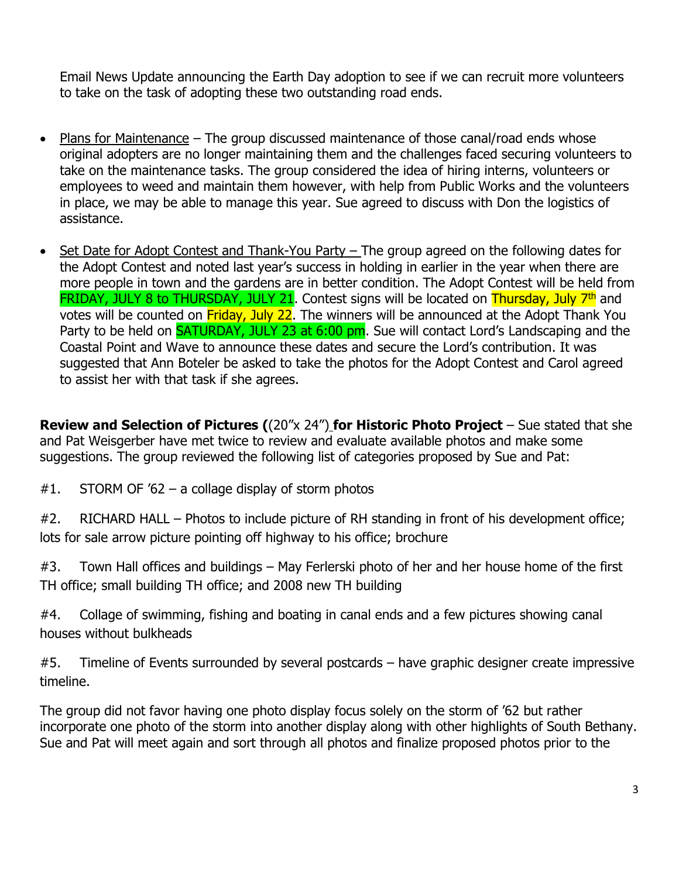Email News Update announcing the Earth Day adoption to see if we can recruit more volunteers to take on the task of adopting these two outstanding road ends.

- Plans for Maintenance The group discussed maintenance of those canal/road ends whose original adopters are no longer maintaining them and the challenges faced securing volunteers to take on the maintenance tasks. The group considered the idea of hiring interns, volunteers or employees to weed and maintain them however, with help from Public Works and the volunteers in place, we may be able to manage this year. Sue agreed to discuss with Don the logistics of assistance.
- Set Date for Adopt Contest and Thank-You Party The group agreed on the following dates for the Adopt Contest and noted last year's success in holding in earlier in the year when there are more people in town and the gardens are in better condition. The Adopt Contest will be held from FRIDAY, JULY 8 to THURSDAY, JULY 21. Contest signs will be located on Thursday, July 7<sup>th</sup> and votes will be counted on Friday, July 22. The winners will be announced at the Adopt Thank You Party to be held on **SATURDAY, JULY 23 at 6:00 pm.** Sue will contact Lord's Landscaping and the Coastal Point and Wave to announce these dates and secure the Lord's contribution. It was suggested that Ann Boteler be asked to take the photos for the Adopt Contest and Carol agreed to assist her with that task if she agrees.

**Review and Selection of Pictures (**(20"x 24") **for Historic Photo Project** – Sue stated that she and Pat Weisgerber have met twice to review and evaluate available photos and make some suggestions. The group reviewed the following list of categories proposed by Sue and Pat:

 $#1.$  STORM OF '62 – a collage display of storm photos

#2. RICHARD HALL – Photos to include picture of RH standing in front of his development office; lots for sale arrow picture pointing off highway to his office; brochure

#3. Town Hall offices and buildings – May Ferlerski photo of her and her house home of the first TH office; small building TH office; and 2008 new TH building

#4. Collage of swimming, fishing and boating in canal ends and a few pictures showing canal houses without bulkheads

#5. Timeline of Events surrounded by several postcards – have graphic designer create impressive timeline.

The group did not favor having one photo display focus solely on the storm of '62 but rather incorporate one photo of the storm into another display along with other highlights of South Bethany. Sue and Pat will meet again and sort through all photos and finalize proposed photos prior to the